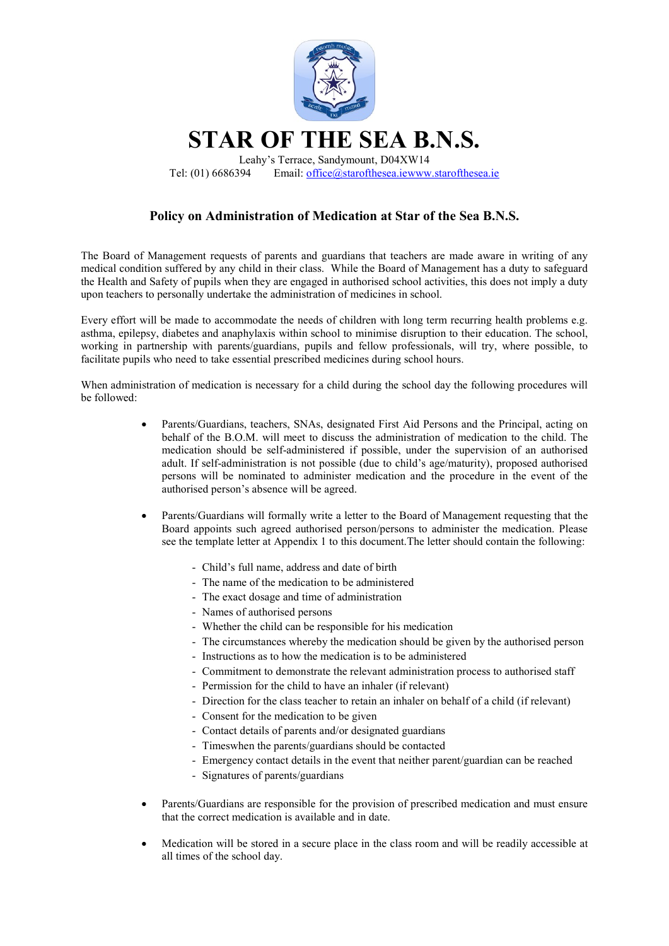

## Policy on Administration of Medication at Star of the Sea B.N.S.

The Board of Management requests of parents and guardians that teachers are made aware in writing of any medical condition suffered by any child in their class. While the Board of Management has a duty to safeguard the Health and Safety of pupils when they are engaged in authorised school activities, this does not imply a duty upon teachers to personally undertake the administration of medicines in school.

Every effort will be made to accommodate the needs of children with long term recurring health problems e.g. asthma, epilepsy, diabetes and anaphylaxis within school to minimise disruption to their education. The school, working in partnership with parents/guardians, pupils and fellow professionals, will try, where possible, to facilitate pupils who need to take essential prescribed medicines during school hours.

When administration of medication is necessary for a child during the school day the following procedures will be followed:

- Parents/Guardians, teachers, SNAs, designated First Aid Persons and the Principal, acting on behalf of the B.O.M. will meet to discuss the administration of medication to the child. The medication should be self-administered if possible, under the supervision of an authorised adult. If self-administration is not possible (due to child's age/maturity), proposed authorised persons will be nominated to administer medication and the procedure in the event of the authorised person's absence will be agreed.
- Parents/Guardians will formally write a letter to the Board of Management requesting that the Board appoints such agreed authorised person/persons to administer the medication. Please see the template letter at Appendix 1 to this document.The letter should contain the following:
	- Child's full name, address and date of birth
	- The name of the medication to be administered
	- The exact dosage and time of administration
	- Names of authorised persons
	- Whether the child can be responsible for his medication
	- The circumstances whereby the medication should be given by the authorised person
	- Instructions as to how the medication is to be administered
	- Commitment to demonstrate the relevant administration process to authorised staff
	- Permission for the child to have an inhaler (if relevant)
	- Direction for the class teacher to retain an inhaler on behalf of a child (if relevant)
	- Consent for the medication to be given
	- Contact details of parents and/or designated guardians
	- Timeswhen the parents/guardians should be contacted
	- Emergency contact details in the event that neither parent/guardian can be reached
	- Signatures of parents/guardians
- Parents/Guardians are responsible for the provision of prescribed medication and must ensure that the correct medication is available and in date.
- Medication will be stored in a secure place in the class room and will be readily accessible at all times of the school day.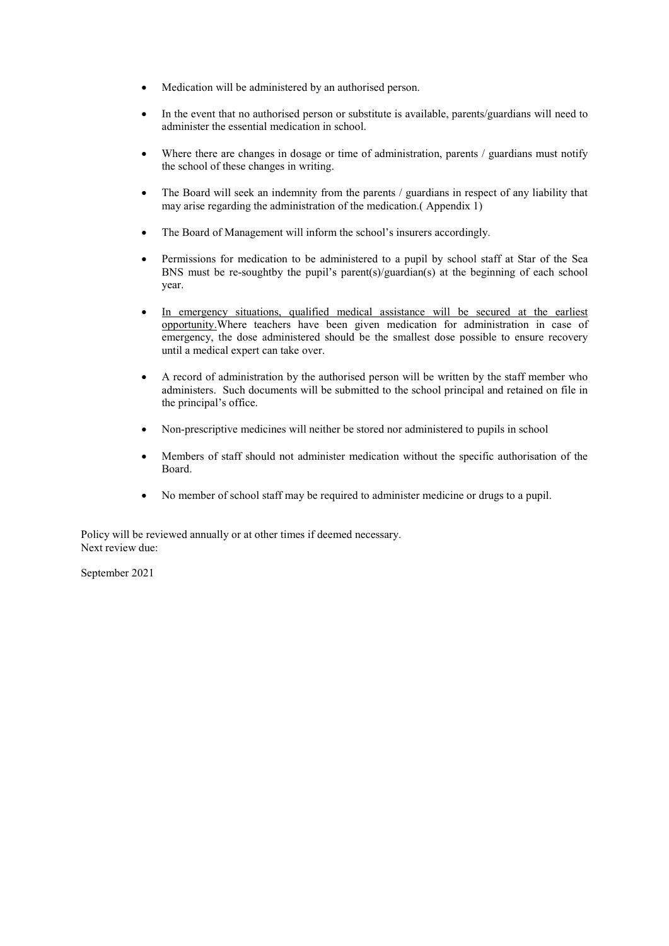- Medication will be administered by an authorised person.
- In the event that no authorised person or substitute is available, parents/guardians will need to administer the essential medication in school.
- Where there are changes in dosage or time of administration, parents / guardians must notify the school of these changes in writing.
- The Board will seek an indemnity from the parents / guardians in respect of any liability that may arise regarding the administration of the medication.( Appendix 1)
- The Board of Management will inform the school's insurers accordingly.
- Permissions for medication to be administered to a pupil by school staff at Star of the Sea BNS must be re-soughtby the pupil's parent(s)/guardian(s) at the beginning of each school year.
- In emergency situations, qualified medical assistance will be secured at the earliest opportunity.Where teachers have been given medication for administration in case of emergency, the dose administered should be the smallest dose possible to ensure recovery until a medical expert can take over.
- A record of administration by the authorised person will be written by the staff member who administers. Such documents will be submitted to the school principal and retained on file in the principal's office.
- Non-prescriptive medicines will neither be stored nor administered to pupils in school
- Members of staff should not administer medication without the specific authorisation of the Board.
- No member of school staff may be required to administer medicine or drugs to a pupil.

Policy will be reviewed annually or at other times if deemed necessary. Next review due:

September 2021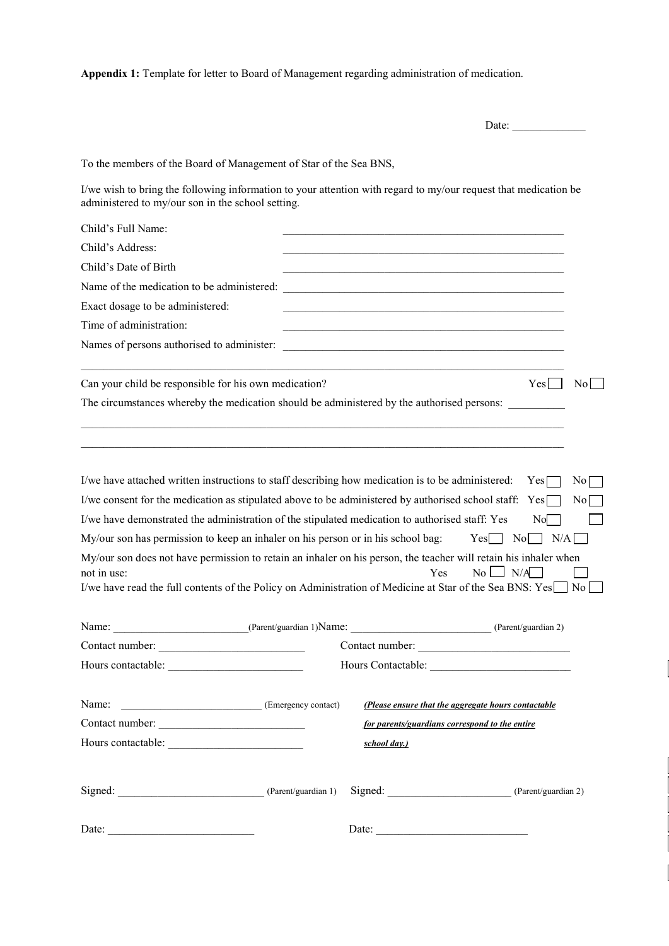Appendix 1: Template for letter to Board of Management regarding administration of medication.

|                                                                                                                                                                                                                                                                                                                                                                                                                                                                                                                                                                                                                                                    |                                                                                                                       | Date: $\qquad \qquad$                                                                          |  |  |
|----------------------------------------------------------------------------------------------------------------------------------------------------------------------------------------------------------------------------------------------------------------------------------------------------------------------------------------------------------------------------------------------------------------------------------------------------------------------------------------------------------------------------------------------------------------------------------------------------------------------------------------------------|-----------------------------------------------------------------------------------------------------------------------|------------------------------------------------------------------------------------------------|--|--|
| To the members of the Board of Management of Star of the Sea BNS,                                                                                                                                                                                                                                                                                                                                                                                                                                                                                                                                                                                  |                                                                                                                       |                                                                                                |  |  |
| I/we wish to bring the following information to your attention with regard to my/our request that medication be<br>administered to my/our son in the school setting.                                                                                                                                                                                                                                                                                                                                                                                                                                                                               |                                                                                                                       |                                                                                                |  |  |
| Child's Full Name:                                                                                                                                                                                                                                                                                                                                                                                                                                                                                                                                                                                                                                 |                                                                                                                       |                                                                                                |  |  |
| Child's Address:                                                                                                                                                                                                                                                                                                                                                                                                                                                                                                                                                                                                                                   |                                                                                                                       |                                                                                                |  |  |
| Child's Date of Birth                                                                                                                                                                                                                                                                                                                                                                                                                                                                                                                                                                                                                              |                                                                                                                       |                                                                                                |  |  |
| Name of the medication to be administered:                                                                                                                                                                                                                                                                                                                                                                                                                                                                                                                                                                                                         | <u> 1989 - Johann Barn, amerikan besteman besteman besteman besteman besteman besteman besteman besteman besteman</u> |                                                                                                |  |  |
| Exact dosage to be administered:                                                                                                                                                                                                                                                                                                                                                                                                                                                                                                                                                                                                                   |                                                                                                                       |                                                                                                |  |  |
| Time of administration:                                                                                                                                                                                                                                                                                                                                                                                                                                                                                                                                                                                                                            |                                                                                                                       |                                                                                                |  |  |
| Names of persons authorised to administer:                                                                                                                                                                                                                                                                                                                                                                                                                                                                                                                                                                                                         | <u> 2008 - Jan Barnett, fransk politik (d. 1888)</u>                                                                  |                                                                                                |  |  |
| Can your child be responsible for his own medication?                                                                                                                                                                                                                                                                                                                                                                                                                                                                                                                                                                                              |                                                                                                                       | Yes    <br>No l                                                                                |  |  |
| The circumstances whereby the medication should be administered by the authorised persons:                                                                                                                                                                                                                                                                                                                                                                                                                                                                                                                                                         |                                                                                                                       |                                                                                                |  |  |
| I/we have attached written instructions to staff describing how medication is to be administered:<br>I/we consent for the medication as stipulated above to be administered by authorised school staff: Yes[<br>I/we have demonstrated the administration of the stipulated medication to authorised staff: Yes<br>My/our son has permission to keep an inhaler on his person or in his school bag:<br>My/our son does not have permission to retain an inhaler on his person, the teacher will retain his inhaler when<br>not in use:<br>I/we have read the full contents of the Policy on Administration of Medicine at Star of the Sea BNS: Yes | Yes                                                                                                                   | Yes<br>N <sub>0</sub><br>N0<br>No.<br>$Yes$   No     N/A  <br>$No \quad N/A$<br>N <sub>o</sub> |  |  |
| Name: <u>Charles (Parent/guardian 1</u> ) Name: Charles (Parent/guardian 2)                                                                                                                                                                                                                                                                                                                                                                                                                                                                                                                                                                        |                                                                                                                       |                                                                                                |  |  |
| Contact number:                                                                                                                                                                                                                                                                                                                                                                                                                                                                                                                                                                                                                                    | Contact number:                                                                                                       |                                                                                                |  |  |
|                                                                                                                                                                                                                                                                                                                                                                                                                                                                                                                                                                                                                                                    |                                                                                                                       |                                                                                                |  |  |
| Name: <u>Charles (Emergency contact)</u>                                                                                                                                                                                                                                                                                                                                                                                                                                                                                                                                                                                                           |                                                                                                                       | (Please ensure that the aggregate hours contactable                                            |  |  |
| Contact number:                                                                                                                                                                                                                                                                                                                                                                                                                                                                                                                                                                                                                                    | for parents/guardians correspond to the entire                                                                        |                                                                                                |  |  |
|                                                                                                                                                                                                                                                                                                                                                                                                                                                                                                                                                                                                                                                    | school day.)                                                                                                          |                                                                                                |  |  |
| Signed: (Parent/guardian 1)                                                                                                                                                                                                                                                                                                                                                                                                                                                                                                                                                                                                                        |                                                                                                                       | Signed: (Parent/guardian 2)                                                                    |  |  |
| Date:                                                                                                                                                                                                                                                                                                                                                                                                                                                                                                                                                                                                                                              | Date: $\qquad \qquad$                                                                                                 |                                                                                                |  |  |